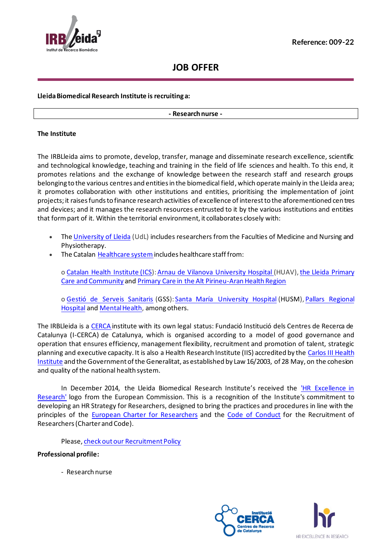

# **JOB OFFER**

## **Lleida Biomedical Research Institute is recruiting a:**

#### **- Research nurse -**

#### **The Institute**

The IRBLleida aims to promote, develop, transfer, manage and disseminate research excellence, scientific and technological knowledge, teaching and training in the field of life sciences and health. To this end, it promotes relations and the exchange of knowledge between the research staff and research groups belonging to the various centres and entities in the biomedical field, which operate mainly in the Lleida area; it promotes collaboration with other institutions and entities, prioritising the implementation of joint projects; it raises funds to finance research activities of excellence of interest to the aforementioned centres and devices; and it manages the research resources entrusted to it by the various institutions and entities that form part of it. Within the territorial environment, it collaborates closely with:

- The [University of Lleida](http://www.udl.es/ca/) (UdL) includes researchers from the Faculties of Medicine and Nursing and Physiotherapy.
- The Catalan Healthcare system includes healthcare staff from:

o [Catalan Health Institute](http://ics.gencat.cat/ca/inici/) (ICS): Arnau de Vilanova University Hospital (HUAV), the Lleida Primary [Care and Community](http://www.icslleida.cat/primaria/) and [Primary Care in the Alt Pirineu-Aran Health Region](http://www.icslleida.cat/pirineu)

o [Gestió de Serveis Sanitaris](http://www.gss.cat/) (GSS): [Santa María University Hospital](http://www.gss.cat/es) (HUSM), Pallars Regional [Hospital](http://www.gss.cat/es/hospital-comarcal-del-pallars) and [Mental Health,](http://www.gss.cat/ca/atencio_salut_mental) among others.

The IRBLleida is a [CERCA](http://www.cerca.cat/) institute with its own legal status: Fundació Institució dels Centres de Recerca de Catalunya (I-CERCA) de Catalunya, which is organised according to a model of good governance and operation that ensures efficiency, management flexibility, recruitment and promotion of talent, strategic planning and executive capacity. It is also a Health Research Institute (IIS) accredited by the Carlos III Health [Institute](http://www.isciii.es/) and the Government of the Generalitat, as established by Law 16/2003, of 28 May, on the cohesion and quality of the national health system.

In December 2014, the Lleida Biomedical Research Institute's received the 'HR Excellence in [Research'](mailto:https://www.irblleida.org/en/about-us/hr-excellence-in-research/) logo from the European Commission. This is a recognition of the Institute's commitment to developing an HR Strategy for Researchers, designed to bring the practices and procedures in line with the principles of the [European Charter for Researchers](mailto:https://euraxess.ec.europa.eu/jobs/charter/european-charter) and the [Code of Conduct](mailto:https://euraxess.ec.europa.eu/jobs/charter/code) for the Recruitment of Researchers (Charter and Code).

Please[, check out our Recruitment Policy](mailto:https://www.irblleida.org/media/upload/arxius/ABOUT_US/HREXCELLENCE/PNT-005_personnel_recruitment.pdf)

#### **Professional profile:**

- Research nurse



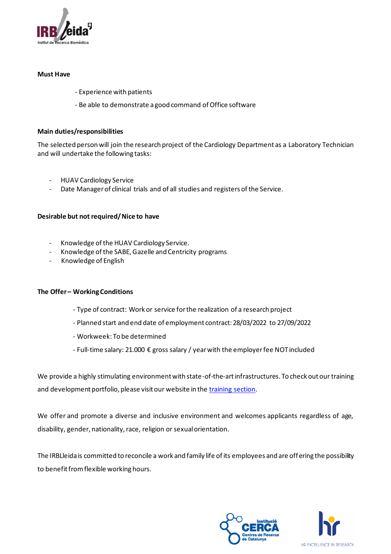

#### **Must Have**

- Experience with patients
- Be able to demonstrate a good command of Office software

#### **Main duties/responsibilities**

The selected person will join the research project of the Cardiology Department as a Laboratory Technician and will undertake the following tasks:

- HUAV Cardiology Service
- Date Manager of clinical trials and of all studies and registers of the Service.

#### **Desirable but not required/ Nice to have**

- Knowledge of the HUAV Cardiology Service.
- Knowledge of the SABE, Gazelle and Centricity programs
- Knowledge of English

#### **The Offer – Working Conditions**

- Type of contract: Work or service for the realization of a research project
- Planned start and end date of employment contract: 28/03/2022 to 27/09/2022
- Workweek: To be determined
- Full-time salary: 21.000 € gross salary / yearwith the employer fee NOTincluded

We provide a highly stimulating environment with state-of-the-art infrastructures. To check out our training and development portfolio, please visit our website in the [training section](mailto:https://www.irblleida.org/en/training/).

We offer and promote a diverse and inclusive environment and welcomes applicants regardless of age, disability, gender, nationality, race, religion or sexual orientation.

The IRBLleida is committed to reconcile a work and family life of its employees and are offering the possibility to benefit from flexible working hours.



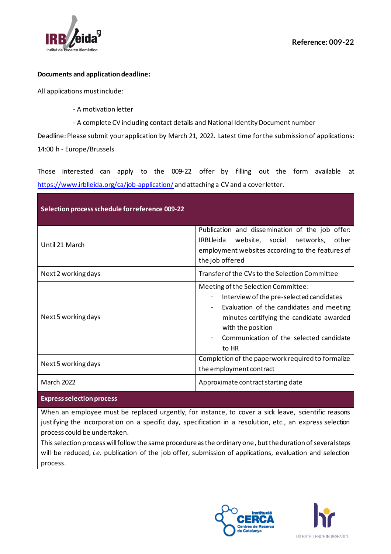

## **Documents and application deadline:**

All applications must include:

- A motivation letter
- A complete CV including contact details and National Identity Document number

Deadline: Please submit your application by March 21, 2022. Latest time for the submission of applications: 14:00 h - Europe/Brussels

Those interested can apply to the 009-22 offer by filling out the form available at <https://www.irblleida.org/ca/job-application/> and attaching a CV and a cover letter.

| Selection process schedule for reference 009-22 |                                                                                                                                                                                                                                                                                                          |  |  |
|-------------------------------------------------|----------------------------------------------------------------------------------------------------------------------------------------------------------------------------------------------------------------------------------------------------------------------------------------------------------|--|--|
| Until 21 March                                  | Publication and dissemination of the job offer.<br><b>IRBLIeida</b><br>website, social networks, other<br>employment websites according to the features of<br>the job offered                                                                                                                            |  |  |
| Next 2 working days                             | Transfer of the CVs to the Selection Committee                                                                                                                                                                                                                                                           |  |  |
| Next 5 working days                             | Meeting of the Selection Committee:<br>Interview of the pre-selected candidates<br>$\overline{\phantom{a}}$<br>Evaluation of the candidates and meeting<br>$\overline{\phantom{0}}$<br>minutes certifying the candidate awarded<br>with the position<br>Communication of the selected candidate<br>to HR |  |  |
| Next 5 working days                             | Completion of the paperwork required to formalize<br>the employment contract                                                                                                                                                                                                                             |  |  |
| <b>March 2022</b>                               | Approximate contract starting date                                                                                                                                                                                                                                                                       |  |  |

#### **Express selection process**

When an employee must be replaced urgently, for instance, to cover a sick leave, scientific reasons justifying the incorporation on a specific day, specification in a resolution, etc., an express selection process could be undertaken.

This selection process will follow the same procedure as the ordinary one, but the duration of several steps will be reduced, *i.e.* publication of the job offer, submission of applications, evaluation and selection process.



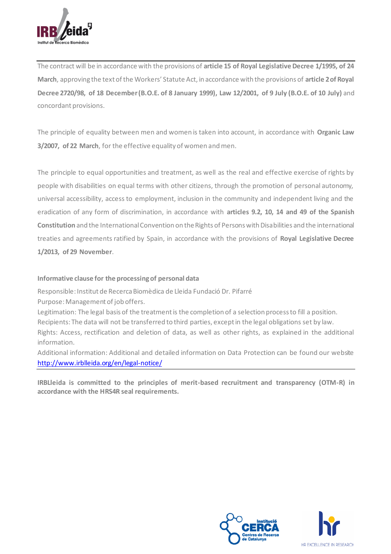

The contract will be in accordance with the provisions of **article 15 of Royal Legislative Decree 1/1995, of 24 March**, approving the text of the Workers' Statute Act, in accordance with the provisions of **article 2 of Royal Decree 2720/98, of 18 December (B.O.E. of 8 January 1999), Law 12/2001, of 9 July (B.O.E. of 10 July)** and concordant provisions.

The principle of equality between men and women is taken into account, in accordance with **Organic Law 3/2007, of 22 March**, for the effective equality of women and men.

The principle to equal opportunities and treatment, as well as the real and effective exercise of rights by people with disabilities on equal terms with other citizens, through the promotion of personal autonomy, universal accessibility, access to employment, inclusion in the community and independent living and the eradication of any form of discrimination, in accordance with **articles 9.2, 10, 14 and 49 of the Spanish Constitution** and the International Convention on the Rights of Persons with Disabilities and the international treaties and agreements ratified by Spain, in accordance with the provisions of **Royal Legislative Decree 1/2013, of 29 November**.

# **Informative clause for the processing of personal data**

Responsible: Institut de Recerca Biomèdica de Lleida Fundació Dr. Pifarré Purpose: Management of job offers.

Legitimation: The legal basis of the treatment is the completion of a selection process to fill a position. Recipients: The data will not be transferred to third parties, except in the legal obligations set by law. Rights: Access, rectification and deletion of data, as well as other rights, as explained in the additional information.

Additional information: Additional and detailed information on Data Protection can be found our website <http://www.irblleida.org/en/legal-notice/>

**IRBLleida is committed to the principles of merit-based recruitment and transparency (OTM-R) in accordance with the HRS4R seal requirements.**



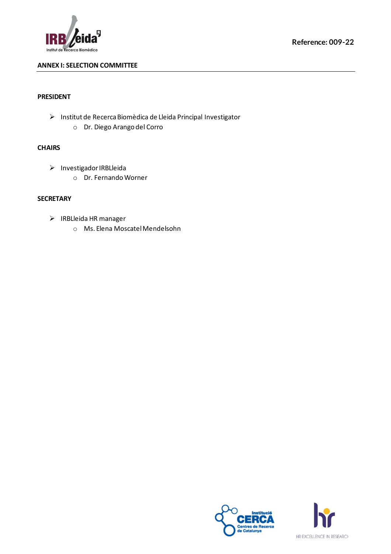

# **ANNEX I: SELECTION COMMITTEE**

## **PRESIDENT**

➢ Institut de Recerca Biomèdica de Lleida Principal Investigator o Dr. Diego Arango del Corro

## **CHAIRS**

- ➢ Investigador IRBLleida
	- o Dr. Fernando Worner

# **SECRETARY**

- ➢ IRBLleida HR manager
	- o Ms. Elena Moscatel Mendelsohn